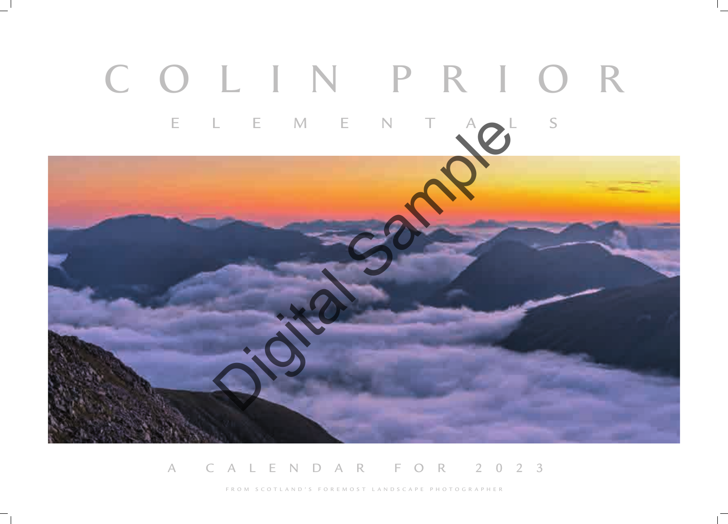# A CALENDAR FOR 2023

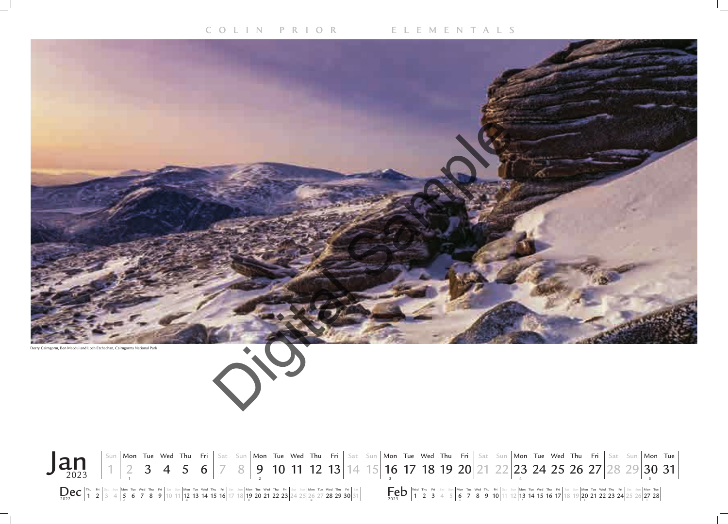# **COLIN PRIOR ELEMENTALS**







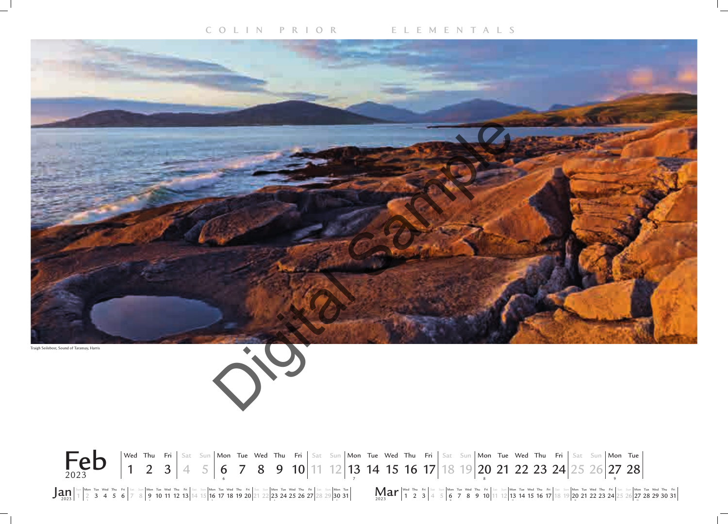



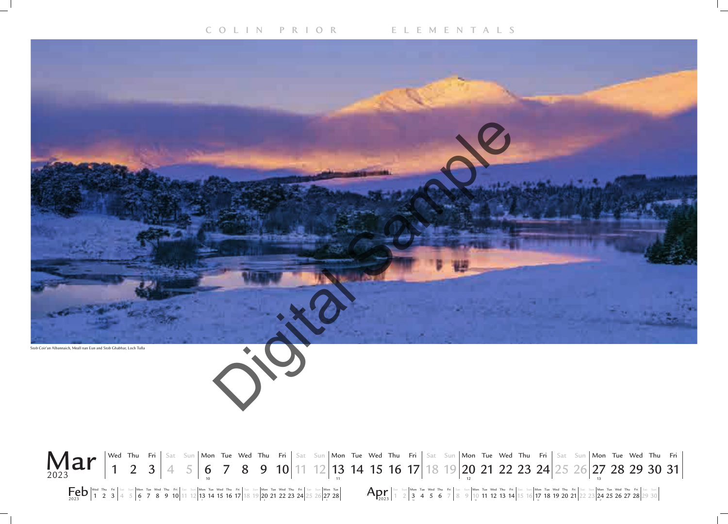

 $\textbf{Feb}$   $\frac{1}{1}$   $\frac{2}{2}$   $\frac{3}{4}$   $\frac{5}{4}$   $\frac{5}{5}$   $\frac{1}{6}$   $\frac{7}{7}$   $\frac{8}{5}$   $\frac{9}{10}$   $\frac{11}{11}$   $\frac{12}{13}$   $\frac{14}{15}$   $\frac{15}{16}$   $\frac{15}{17}$   $\frac{18}{18}$   $\frac{19}{20}$   $\frac{21}{22}$   $\frac{22}{23}$   $\frac{24}{25}$  1 2 3  $|4\>5|$  6 7 8 9 10  $|11\>12|$  13 14 15 16 17  $|18\>19|$  20 21 22 23 24  $|25\>26|$  27 28  $|$ 

# Sat Sun**|Mon Tue Wed Thu Fri|**Sat Sun**|Mon Tue Wed Thu Fri|**Sat Sun**|Mon Tue Wed Thu Fri|**Sat Sun**|Mon Tue Wed Thu Fri|**Sat Sun 1 2  $3$  4 5 6 7 8 9 10 11 12 13 14 15 16 17 18 19 20 21 22 23  $24$  25 26 27 28 29 30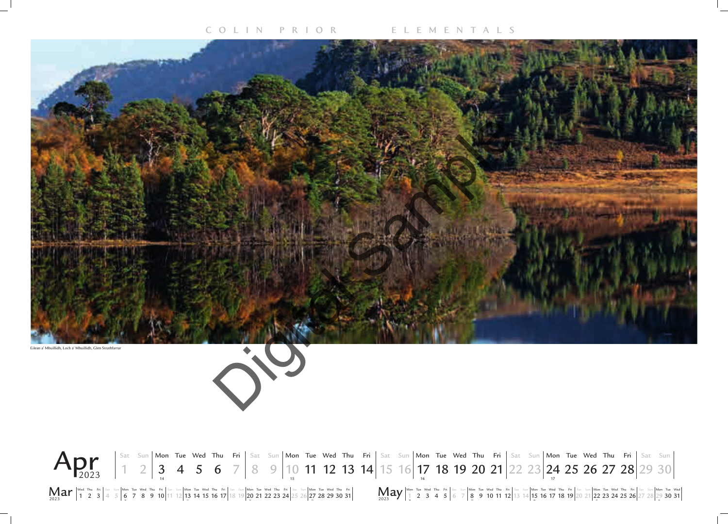![](_page_4_Picture_3.jpeg)

![](_page_4_Picture_2.jpeg)

![](_page_4_Picture_5.jpeg)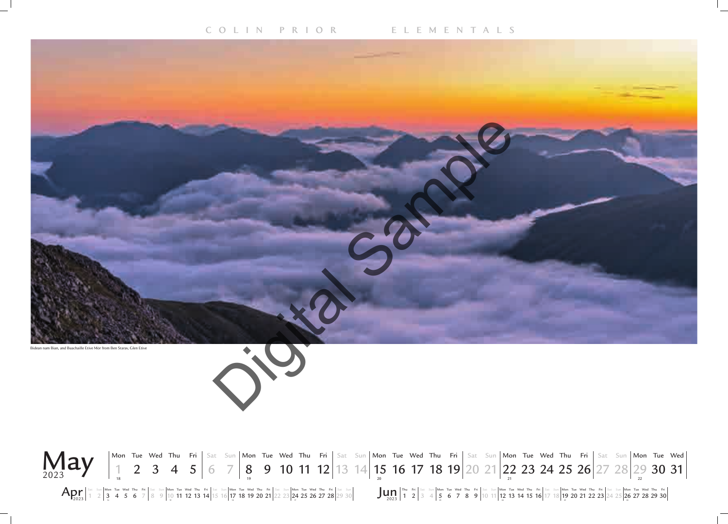![](_page_5_Picture_5.jpeg)

 $\mathbf{A}_{2023}$   $\begin{bmatrix} \text{Sat} & \text{Sun} \end{bmatrix}$  Mon Tue Wed Thu Fri Sat Sun Mon Tue Wed Thu Fri Sat Sun Mon Tue Wed Thu Fri Sat Sun Mon Tue Wed Thu Fri Sat Sun  $\begin{bmatrix} \text{Sat} & \text{Sun} \end{bmatrix}$   $\begin{bmatrix} \text{Mon} & \text{Tu} & \text{Yu} \end{bmatrix}$   $\begin{bmatrix} 3t &$ 1 2  $3$  4 5 6 7 8 9 10 11 12 13 14 15 16 17 18 19 20 21 22 23  $24$  25 26 27 28 29 30

![](_page_5_Picture_2.jpeg)

![](_page_5_Picture_4.jpeg)

![](_page_5_Picture_8.jpeg)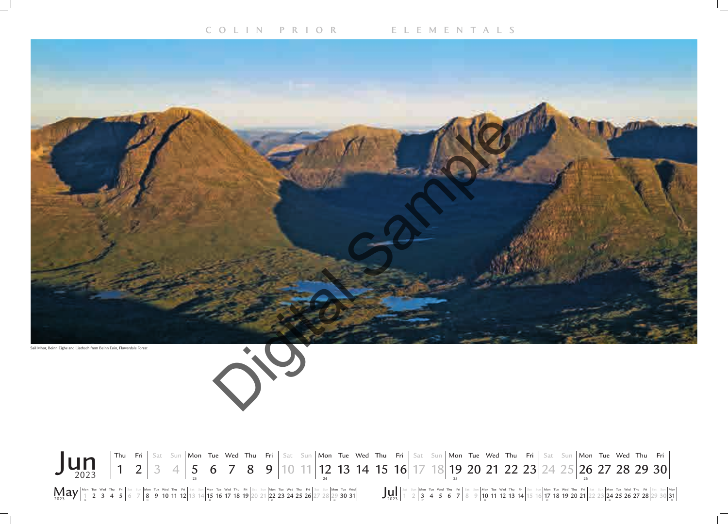Sail Mhor, Beinn Eighe and Liathach from Beinn Eoin, Flowerdale Forest

![](_page_6_Picture_4.jpeg)

![](_page_6_Picture_5.jpeg)

# Sat Sun**|Mon Tue Wed Thu Fri|**Sat Sun**|Mon Tue Wed Thu Fri|**Sat Sun**|Mon Tue Wed Thu Fri|**Sat Sun**|Mon Tue Wed Thu Fri|**Sat Sun**|Mon**

![](_page_6_Picture_2.jpeg)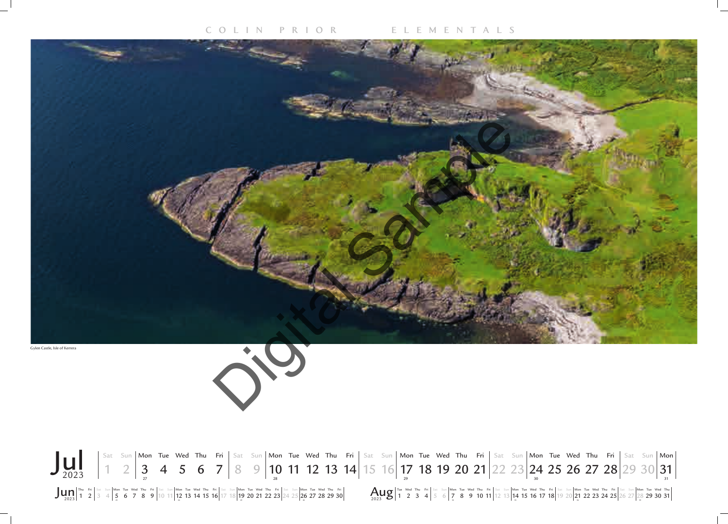![](_page_7_Picture_4.jpeg)

![](_page_7_Picture_2.jpeg)

![](_page_7_Picture_3.jpeg)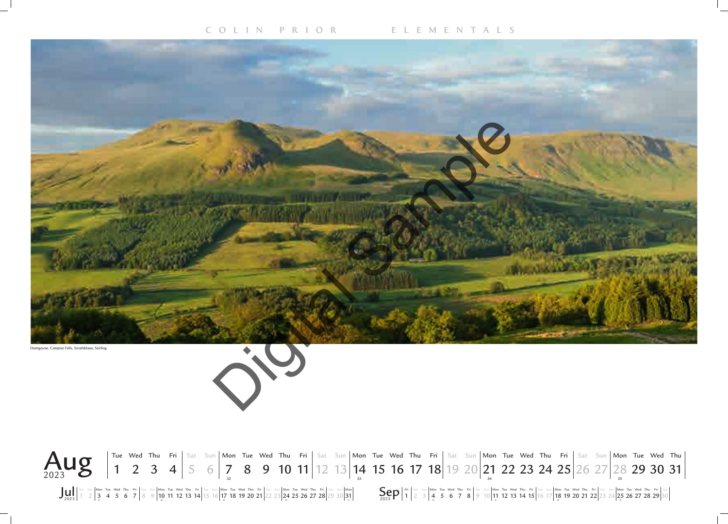Dumgoyne, Campsie Fells, Strathblane, Stirling

![](_page_8_Picture_4.jpeg)

![](_page_8_Picture_5.jpeg)

Jul 2023 Sep <sup>2023</sup> Sat Sun Mon Tue Wed Thu Fri Sat Sun Mon Tue Wed Thu Fri Sat Sun Mon Tue Wed Thu Fri Sat Sun Mon Tue Wed Thu Fri Sat Sun Mon 1 2  $3$  4 5 6 7  $8$  9  $\frac{10}{3}$  11 12 13 14 15 16  $\frac{17}{3}$  18 19 20 21  $\frac{22}{23}$   $\frac{24}{3}$  25 26 27 28  $\frac{29}{30}$   $\frac{31}{31}$ 

![](_page_8_Figure_8.jpeg)

![](_page_8_Picture_2.jpeg)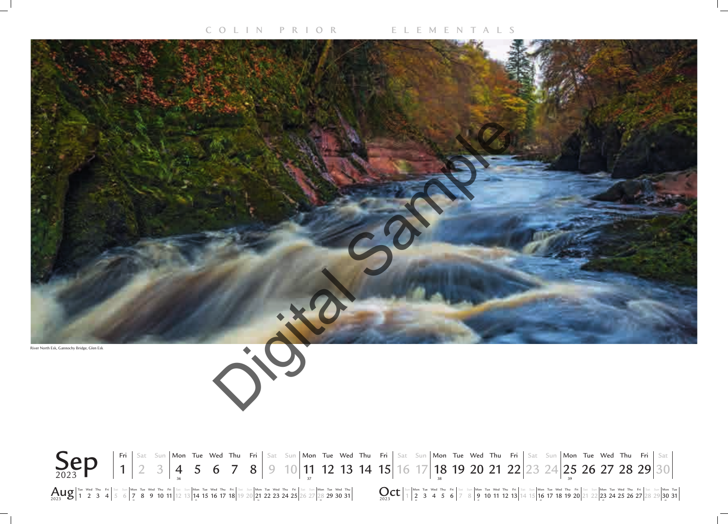![](_page_9_Picture_2.jpeg)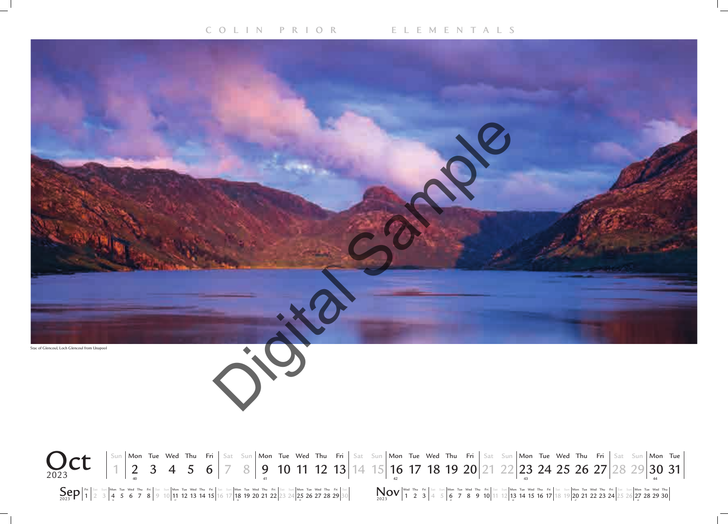![](_page_10_Picture_2.jpeg)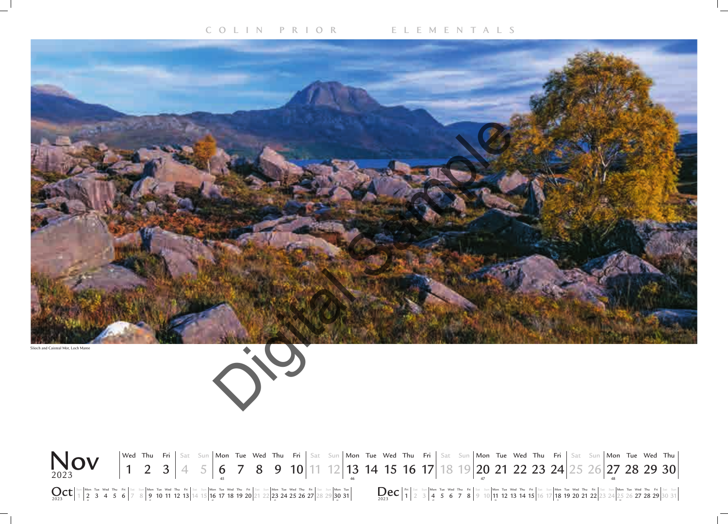Slioch and Caisteal Mòr, Loch Maree

![](_page_11_Picture_4.jpeg)

![](_page_11_Picture_5.jpeg)

![](_page_11_Picture_2.jpeg)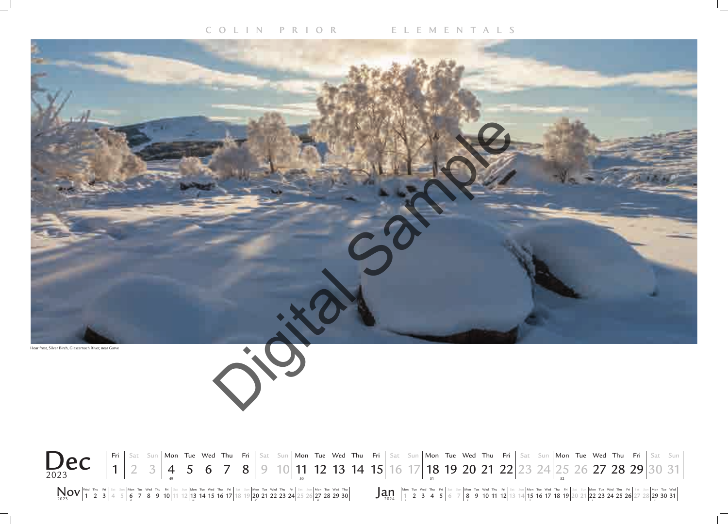![](_page_12_Picture_4.jpeg)

![](_page_12_Picture_2.jpeg)

![](_page_12_Picture_3.jpeg)